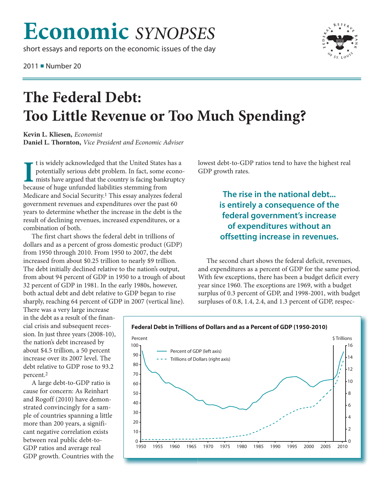## **Economic** *SYNOPSES*

short essays and reports on the economic issues of the day

2011 ■ Number 20



## **The Federal Debt: Too Little Revenue or Too Much Spending?**

**Kevin L. Kliesen,** *Economist* **Daniel L. Thornton,** *Vice President and Economic Adviser*

I t is widely acknowledged that the United States potentially serious debt problem. In fact, some only mists have argued that the country is facing bank because of huge unfunded liabilities stemming from t is widely acknowledged that the United States has a potentially serious debt problem. In fact, some economists have argued that the country is facing bankruptcy Medicare and Social Security.1 This essay analyzes federal government revenues and expenditures over the past 60 years to determine whether the increase in the debt is the result of declining revenues, increased expenditures, or a combination of both.

The first chart shows the federal debt in trillions of dollars and as a percent of gross domestic product (GDP) from 1950 through 2010. From 1950 to 2007, the debt increased from about \$0.25 trillion to nearly \$9 trillion. The debt initially declined relative to the nation's output, from about 94 percent of GDP in 1950 to a trough of about 32 percent of GDP in 1981. In the early 1980s, however, both actual debt and debt relative to GDP began to rise sharply, reaching 64 percent of GDP in 2007 (vertical line).

There was a very large increase in the debt as a result of the financial crisis and subsequent recession. In just three years (2008-10), the nation's debt increased by about \$4.5 trillion, a 50 percent increase over its 2007 level. The debt relative to GDP rose to 93.2

percent.2 A large debt-to-GDP ratio is cause for concern: As Reinhart and Rogoff (2010) have demonstrated convincingly for a sample of countries spanning a little more than 200 years, a significant negative correlation exists between real public debt-to-GDP ratios and average real GDP growth. Countries with the lowest debt-to-GDP ratios tend to have the highest real GDP growth rates.

> **The rise in the national debt... is entirely a consequence of the federal government's increase of expenditures without an offsetting increase in revenues.**

The second chart shows the federal deficit, revenues, and expenditures as a percent of GDP for the same period. With few exceptions, there has been a budget deficit every year since 1960. The exceptions are 1969, with a budget surplus of 0.3 percent of GDP, and 1998-2001, with budget surpluses of 0.8, 1.4, 2.4, and 1.3 percent of GDP, respec-